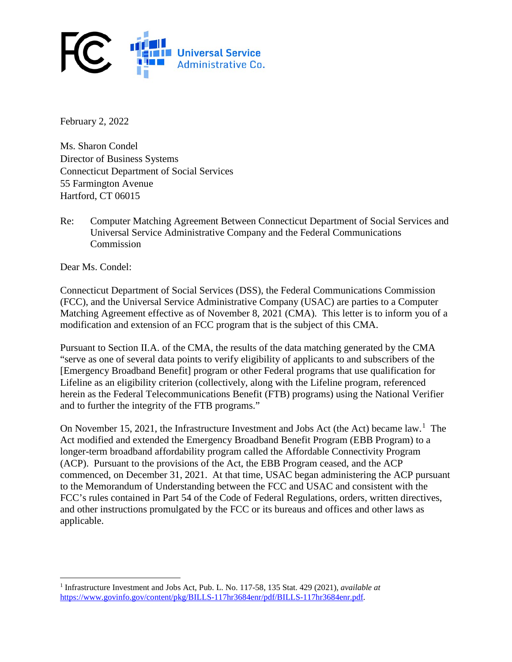

February 2, 2022

Ms. Sharon Condel Director of Business Systems Connecticut Department of Social Services 55 Farmington Avenue Hartford, CT 06015

Re: Computer Matching Agreement Between Connecticut Department of Social Services and Universal Service Administrative Company and the Federal Communications Commission

Dear Ms. Condel:

l

Connecticut Department of Social Services (DSS), the Federal Communications Commission (FCC), and the Universal Service Administrative Company (USAC) are parties to a Computer Matching Agreement effective as of November 8, 2021 (CMA). This letter is to inform you of a modification and extension of an FCC program that is the subject of this CMA.

Pursuant to Section II.A. of the CMA, the results of the data matching generated by the CMA "serve as one of several data points to verify eligibility of applicants to and subscribers of the [Emergency Broadband Benefit] program or other Federal programs that use qualification for Lifeline as an eligibility criterion (collectively, along with the Lifeline program, referenced herein as the Federal Telecommunications Benefit (FTB) programs) using the National Verifier and to further the integrity of the FTB programs."

On November [1](#page-0-0)5, 2021, the Infrastructure Investment and Jobs Act (the Act) became law.<sup>1</sup> The Act modified and extended the Emergency Broadband Benefit Program (EBB Program) to a longer-term broadband affordability program called the Affordable Connectivity Program (ACP). Pursuant to the provisions of the Act, the EBB Program ceased, and the ACP commenced, on December 31, 2021. At that time, USAC began administering the ACP pursuant to the Memorandum of Understanding between the FCC and USAC and consistent with the FCC's rules contained in Part 54 of the Code of Federal Regulations, orders, written directives, and other instructions promulgated by the FCC or its bureaus and offices and other laws as applicable.

<span id="page-0-0"></span><sup>1</sup> Infrastructure Investment and Jobs Act, Pub. L. No. 117-58, 135 Stat. 429 (2021), *available at*  [https://www.g](https://www./)ovinfo.gov/content/pkg/BILLS-117hr3684enr/pdf/BILLS-117hr3684enr.pdf.